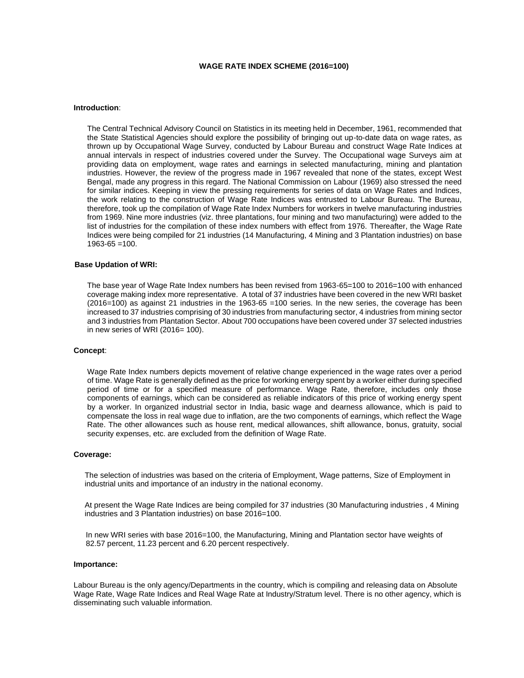# **WAGE RATE INDEX SCHEME (2016=100)**

#### **Introduction**:

The Central Technical Advisory Council on Statistics in its meeting held in December, 1961, recommended that the State Statistical Agencies should explore the possibility of bringing out up-to-date data on wage rates, as thrown up by Occupational Wage Survey, conducted by Labour Bureau and construct Wage Rate Indices at annual intervals in respect of industries covered under the Survey. The Occupational wage Surveys aim at providing data on employment, wage rates and earnings in selected manufacturing, mining and plantation industries. However, the review of the progress made in 1967 revealed that none of the states, except West Bengal, made any progress in this regard. The National Commission on Labour (1969) also stressed the need for similar indices. Keeping in view the pressing requirements for series of data on Wage Rates and Indices, the work relating to the construction of Wage Rate Indices was entrusted to Labour Bureau. The Bureau, therefore, took up the compilation of Wage Rate Index Numbers for workers in twelve manufacturing industries from 1969. Nine more industries (viz. three plantations, four mining and two manufacturing) were added to the list of industries for the compilation of these index numbers with effect from 1976. Thereafter, the Wage Rate Indices were being compiled for 21 industries (14 Manufacturing, 4 Mining and 3 Plantation industries) on base  $1963 - 65 = 100$ .

## **Base Updation of WRI:**

The base year of Wage Rate Index numbers has been revised from 1963-65=100 to 2016=100 with enhanced coverage making index more representative. A total of 37 industries have been covered in the new WRI basket (2016=100) as against 21 industries in the 1963-65 =100 series. In the new series, the coverage has been increased to 37 industries comprising of 30 industries from manufacturing sector, 4 industries from mining sector and 3 industries from Plantation Sector. About 700 occupations have been covered under 37 selected industries in new series of WRI (2016= 100).

#### **Concept**:

Wage Rate Index numbers depicts movement of relative change experienced in the wage rates over a period of time. Wage Rate is generally defined as the price for working energy spent by a worker either during specified period of time or for a specified measure of performance. Wage Rate, therefore, includes only those components of earnings, which can be considered as reliable indicators of this price of working energy spent by a worker. In organized industrial sector in India, basic wage and dearness allowance, which is paid to compensate the loss in real wage due to inflation, are the two components of earnings, which reflect the Wage Rate. The other allowances such as house rent, medical allowances, shift allowance, bonus, gratuity, social security expenses, etc. are excluded from the definition of Wage Rate.

#### **Coverage:**

The selection of industries was based on the criteria of Employment, Wage patterns, Size of Employment in industrial units and importance of an industry in the national economy.

At present the Wage Rate Indices are being compiled for 37 industries (30 Manufacturing industries , 4 Mining industries and 3 Plantation industries) on base 2016=100.

In new WRI series with base 2016=100, the Manufacturing, Mining and Plantation sector have weights of 82.57 percent, 11.23 percent and 6.20 percent respectively.

## **Importance:**

Labour Bureau is the only agency/Departments in the country, which is compiling and releasing data on Absolute Wage Rate, Wage Rate Indices and Real Wage Rate at Industry/Stratum level. There is no other agency, which is disseminating such valuable information.